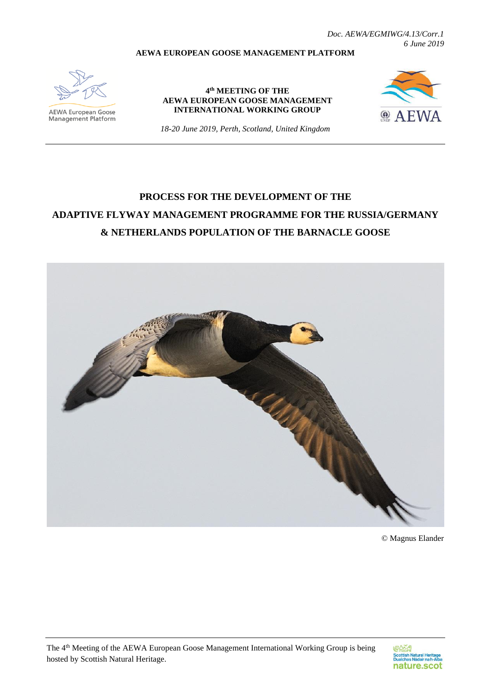*Doc. AEWA/EGMIWG/4.13/Corr.1 6 June 2019*

#### **AEWA EUROPEAN GOOSE MANAGEMENT PLATFORM**



**AEWA European Goose**<br>Management Platform

**4 th MEETING OF THE AEWA EUROPEAN GOOSE MANAGEMENT INTERNATIONAL WORKING GROUP**



*18-20 June 2019, Perth, Scotland, United Kingdom*

# **PROCESS FOR THE DEVELOPMENT OF THE ADAPTIVE FLYWAY MANAGEMENT PROGRAMME FOR THE RUSSIA/GERMANY & NETHERLANDS POPULATION OF THE BARNACLE GOOSE**



© Magnus Elander

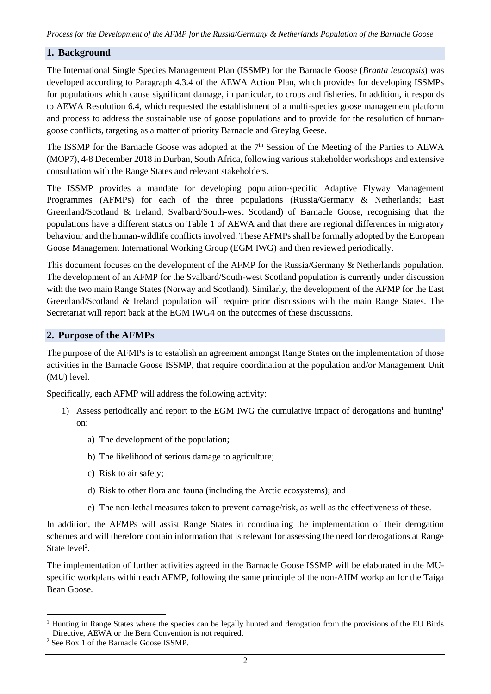## **1. Background**

The International Single Species Management Plan (ISSMP) for the Barnacle Goose (*Branta leucopsis*) was developed according to Paragraph 4.3.4 of the AEWA Action Plan, which provides for developing ISSMPs for populations which cause significant damage, in particular, to crops and fisheries. In addition, it responds to AEWA Resolution 6.4, which requested the establishment of a multi-species goose management platform and process to address the sustainable use of goose populations and to provide for the resolution of humangoose conflicts, targeting as a matter of priority Barnacle and Greylag Geese.

The ISSMP for the Barnacle Goose was adopted at the 7<sup>th</sup> Session of the Meeting of the Parties to AEWA (MOP7), 4-8 December 2018 in Durban, South Africa, following various stakeholder workshops and extensive consultation with the Range States and relevant stakeholders.

The ISSMP provides a mandate for developing population-specific Adaptive Flyway Management Programmes (AFMPs) for each of the three populations (Russia/Germany & Netherlands; East Greenland/Scotland & Ireland, Svalbard/South-west Scotland) of Barnacle Goose, recognising that the populations have a different status on Table 1 of AEWA and that there are regional differences in migratory behaviour and the human-wildlife conflicts involved. These AFMPs shall be formally adopted by the European Goose Management International Working Group (EGM IWG) and then reviewed periodically.

This document focuses on the development of the AFMP for the Russia/Germany & Netherlands population. The development of an AFMP for the Svalbard/South-west Scotland population is currently under discussion with the two main Range States (Norway and Scotland). Similarly, the development of the AFMP for the East Greenland/Scotland & Ireland population will require prior discussions with the main Range States. The Secretariat will report back at the EGM IWG4 on the outcomes of these discussions.

## **2. Purpose of the AFMPs**

The purpose of the AFMPs is to establish an agreement amongst Range States on the implementation of those activities in the Barnacle Goose ISSMP, that require coordination at the population and/or Management Unit (MU) level.

Specifically, each AFMP will address the following activity:

- 1) Assess periodically and report to the EGM IWG the cumulative impact of derogations and hunting<sup>1</sup> on:
	- a) The development of the population;
	- b) The likelihood of serious damage to agriculture;
	- c) Risk to air safety;
	- d) Risk to other flora and fauna (including the Arctic ecosystems); and
	- e) The non-lethal measures taken to prevent damage/risk, as well as the effectiveness of these.

In addition, the AFMPs will assist Range States in coordinating the implementation of their derogation schemes and will therefore contain information that is relevant for assessing the need for derogations at Range State level<sup>2</sup>.

The implementation of further activities agreed in the Barnacle Goose ISSMP will be elaborated in the MUspecific workplans within each AFMP, following the same principle of the non-AHM workplan for the Taiga Bean Goose.

<sup>-</sup><sup>1</sup> Hunting in Range States where the species can be legally hunted and derogation from the provisions of the EU Birds Directive, AEWA or the Bern Convention is not required.

<sup>2</sup> See Box 1 of the Barnacle Goose ISSMP.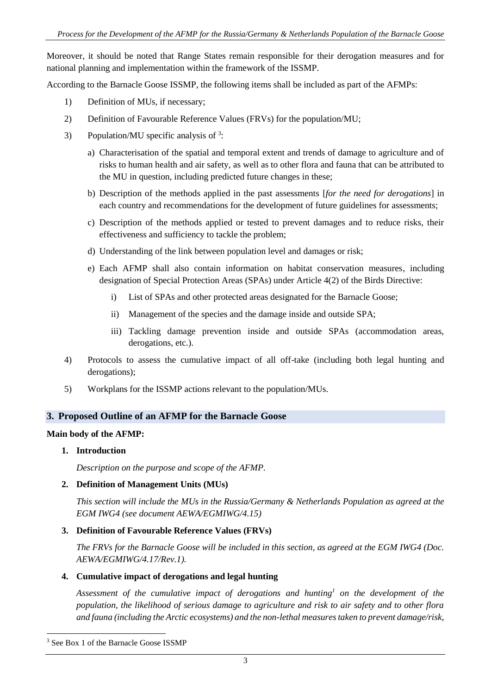Moreover, it should be noted that Range States remain responsible for their derogation measures and for national planning and implementation within the framework of the ISSMP.

According to the Barnacle Goose ISSMP, the following items shall be included as part of the AFMPs:

- 1) Definition of MUs, if necessary;
- 2) Definition of Favourable Reference Values (FRVs) for the population/MU;
- 3) Population/MU specific analysis of  $3$ :
	- a) Characterisation of the spatial and temporal extent and trends of damage to agriculture and of risks to human health and air safety, as well as to other flora and fauna that can be attributed to the MU in question, including predicted future changes in these;
	- b) Description of the methods applied in the past assessments [*for the need for derogations*] in each country and recommendations for the development of future guidelines for assessments;
	- c) Description of the methods applied or tested to prevent damages and to reduce risks, their effectiveness and sufficiency to tackle the problem;
	- d) Understanding of the link between population level and damages or risk;
	- e) Each AFMP shall also contain information on habitat conservation measures, including designation of Special Protection Areas (SPAs) under Article 4(2) of the Birds Directive:
		- i) List of SPAs and other protected areas designated for the Barnacle Goose;
		- ii) Management of the species and the damage inside and outside SPA;
		- iii) Tackling damage prevention inside and outside SPAs (accommodation areas, derogations, etc.).
- 4) Protocols to assess the cumulative impact of all off-take (including both legal hunting and derogations);
- 5) Workplans for the ISSMP actions relevant to the population/MUs.

## **3. Proposed Outline of an AFMP for the Barnacle Goose**

#### **Main body of the AFMP:**

**1. Introduction**

*Description on the purpose and scope of the AFMP.*

## **2. Definition of Management Units (MUs)**

*This section will include the MUs in the Russia/Germany & Netherlands Population as agreed at the EGM IWG4 (see document AEWA/EGMIWG/4.15)*

## **3. Definition of Favourable Reference Values (FRVs)**

*The FRVs for the Barnacle Goose will be included in this section, as agreed at the EGM IWG4 (Doc. AEWA/EGMIWG/4.17/Rev.1).*

## **4. Cumulative impact of derogations and legal hunting**

*Assessment of the cumulative impact of derogations and hunting<sup>1</sup> on the development of the population, the likelihood of serious damage to agriculture and risk to air safety and to other flora and fauna (including the Arctic ecosystems) and the non-lethal measures taken to prevent damage/risk,* 

1

<sup>3</sup> See Box 1 of the Barnacle Goose ISSMP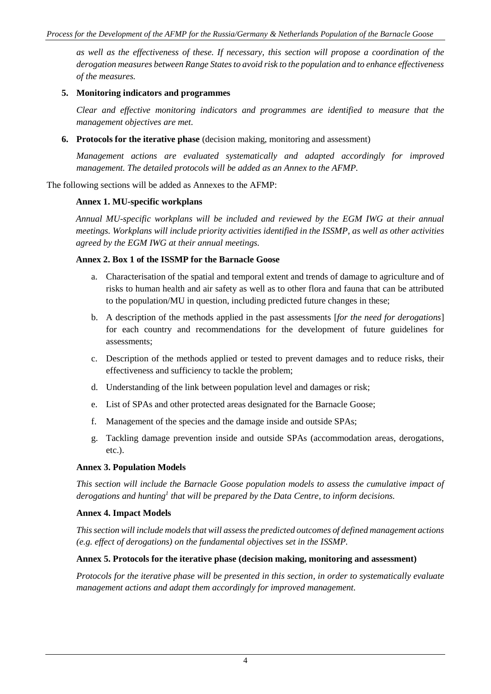*as well as the effectiveness of these. If necessary, this section will propose a coordination of the derogation measures between Range States to avoid risk to the population and to enhance effectiveness of the measures.*

## **5. Monitoring indicators and programmes**

*Clear and effective monitoring indicators and programmes are identified to measure that the management objectives are met.*

**6. Protocols for the iterative phase** (decision making, monitoring and assessment)

*Management actions are evaluated systematically and adapted accordingly for improved management. The detailed protocols will be added as an Annex to the AFMP.*

The following sections will be added as Annexes to the AFMP:

#### **Annex 1. MU-specific workplans**

*Annual MU-specific workplans will be included and reviewed by the EGM IWG at their annual meetings. Workplans will include priority activities identified in the ISSMP, as well as other activities agreed by the EGM IWG at their annual meetings.*

#### **Annex 2. Box 1 of the ISSMP for the Barnacle Goose**

- a. Characterisation of the spatial and temporal extent and trends of damage to agriculture and of risks to human health and air safety as well as to other flora and fauna that can be attributed to the population/MU in question, including predicted future changes in these;
- b. A description of the methods applied in the past assessments [*for the need for derogations*] for each country and recommendations for the development of future guidelines for assessments;
- c. Description of the methods applied or tested to prevent damages and to reduce risks, their effectiveness and sufficiency to tackle the problem;
- d. Understanding of the link between population level and damages or risk;
- e. List of SPAs and other protected areas designated for the Barnacle Goose;
- f. Management of the species and the damage inside and outside SPAs;
- g. Tackling damage prevention inside and outside SPAs (accommodation areas, derogations, etc.).

#### **Annex 3. Population Models**

*This section will include the Barnacle Goose population models to assess the cumulative impact of derogations and hunting<sup>1</sup> that will be prepared by the Data Centre, to inform decisions.*

#### **Annex 4. Impact Models**

*This section will include models that will assess the predicted outcomes of defined management actions (e.g. effect of derogations) on the fundamental objectives set in the ISSMP.*

#### **Annex 5. Protocols for the iterative phase (decision making, monitoring and assessment)**

*Protocols for the iterative phase will be presented in this section, in order to systematically evaluate management actions and adapt them accordingly for improved management.*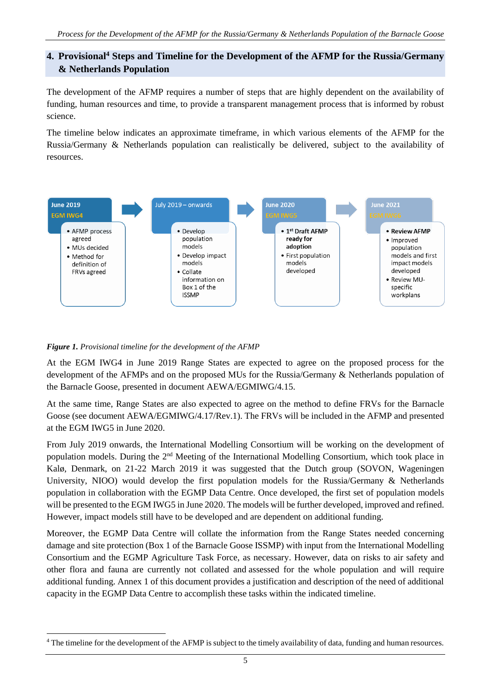## **4. Provisional<sup>4</sup> Steps and Timeline for the Development of the AFMP for the Russia/Germany & Netherlands Population**

The development of the AFMP requires a number of steps that are highly dependent on the availability of funding, human resources and time, to provide a transparent management process that is informed by robust science.

The timeline below indicates an approximate timeframe, in which various elements of the AFMP for the Russia/Germany & Netherlands population can realistically be delivered, subject to the availability of resources.



## *Figure 1. Provisional timeline for the development of the AFMP*

1

At the EGM IWG4 in June 2019 Range States are expected to agree on the proposed process for the development of the AFMPs and on the proposed MUs for the Russia/Germany & Netherlands population of the Barnacle Goose, presented in document AEWA/EGMIWG/4.15.

At the same time, Range States are also expected to agree on the method to define FRVs for the Barnacle Goose (see document AEWA/EGMIWG/4.17/Rev.1). The FRVs will be included in the AFMP and presented at the EGM IWG5 in June 2020.

From July 2019 onwards, the International Modelling Consortium will be working on the development of population models. During the 2nd Meeting of the International Modelling Consortium, which took place in Kalø, Denmark, on 21-22 March 2019 it was suggested that the Dutch group (SOVON, Wageningen University, NIOO) would develop the first population models for the Russia/Germany & Netherlands population in collaboration with the EGMP Data Centre. Once developed, the first set of population models will be presented to the EGM IWG5 in June 2020. The models will be further developed, improved and refined. However, impact models still have to be developed and are dependent on additional funding.

Moreover, the EGMP Data Centre will collate the information from the Range States needed concerning damage and site protection (Box 1 of the Barnacle Goose ISSMP) with input from the International Modelling Consortium and the EGMP Agriculture Task Force, as necessary. However, data on risks to air safety and other flora and fauna are currently not collated and assessed for the whole population and will require additional funding. Annex 1 of this document provides a justification and description of the need of additional capacity in the EGMP Data Centre to accomplish these tasks within the indicated timeline.

<sup>4</sup> The timeline for the development of the AFMP is subject to the timely availability of data, funding and human resources.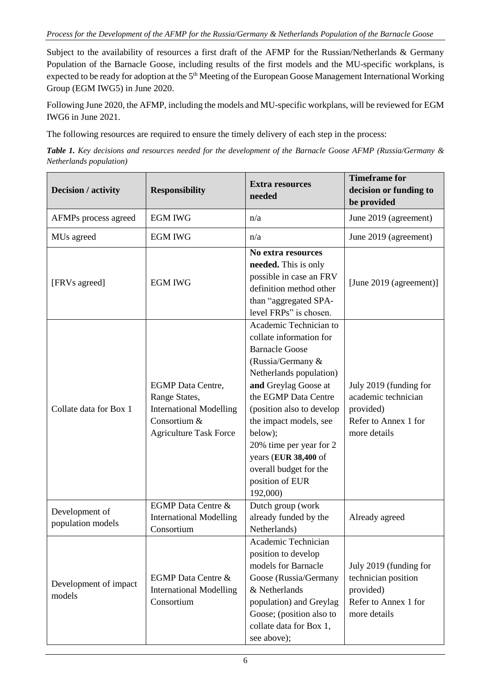#### *Process for the Development of the AFMP for the Russia/Germany & Netherlands Population of the Barnacle Goose*

Subject to the availability of resources a first draft of the AFMP for the Russian/Netherlands & Germany Population of the Barnacle Goose, including results of the first models and the MU-specific workplans, is expected to be ready for adoption at the 5<sup>th</sup> Meeting of the European Goose Management International Working Group (EGM IWG5) in June 2020.

Following June 2020, the AFMP, including the models and MU-specific workplans, will be reviewed for EGM IWG6 in June 2021.

The following resources are required to ensure the timely delivery of each step in the process:

*Table 1. Key decisions and resources needed for the development of the Barnacle Goose AFMP (Russia/Germany & Netherlands population)*

| Decision / activity                 | <b>Responsibility</b>                                                                                                        | <b>Extra resources</b><br>needed                                                                                                                                                                                                                                                                                                                         | <b>Timeframe for</b><br>decision or funding to<br>be provided                                      |
|-------------------------------------|------------------------------------------------------------------------------------------------------------------------------|----------------------------------------------------------------------------------------------------------------------------------------------------------------------------------------------------------------------------------------------------------------------------------------------------------------------------------------------------------|----------------------------------------------------------------------------------------------------|
| AFMPs process agreed                | <b>EGM IWG</b>                                                                                                               | n/a                                                                                                                                                                                                                                                                                                                                                      | June 2019 (agreement)                                                                              |
| MUs agreed                          | <b>EGM IWG</b>                                                                                                               | n/a                                                                                                                                                                                                                                                                                                                                                      | June 2019 (agreement)                                                                              |
| [FRVs agreed]                       | <b>EGM IWG</b>                                                                                                               | No extra resources<br>needed. This is only<br>possible in case an FRV<br>definition method other<br>than "aggregated SPA-<br>level FRPs" is chosen.                                                                                                                                                                                                      | [June 2019 (agreement)]                                                                            |
| Collate data for Box 1              | <b>EGMP</b> Data Centre,<br>Range States,<br><b>International Modelling</b><br>Consortium &<br><b>Agriculture Task Force</b> | Academic Technician to<br>collate information for<br><b>Barnacle Goose</b><br>(Russia/Germany &<br>Netherlands population)<br>and Greylag Goose at<br>the EGMP Data Centre<br>(position also to develop<br>the impact models, see<br>below);<br>20% time per year for 2<br>years (EUR 38,400 of<br>overall budget for the<br>position of EUR<br>192,000) | July 2019 (funding for<br>academic technician<br>provided)<br>Refer to Annex 1 for<br>more details |
| Development of<br>population models | <b>EGMP</b> Data Centre &<br><b>International Modelling</b><br>Consortium                                                    | Dutch group (work<br>already funded by the<br>Netherlands)                                                                                                                                                                                                                                                                                               | Already agreed                                                                                     |
| Development of impact<br>models     | <b>EGMP</b> Data Centre &<br><b>International Modelling</b><br>Consortium                                                    | Academic Technician<br>position to develop<br>models for Barnacle<br>Goose (Russia/Germany<br>& Netherlands<br>population) and Greylag<br>Goose; (position also to<br>collate data for Box 1,<br>see above);                                                                                                                                             | July 2019 (funding for<br>technician position<br>provided)<br>Refer to Annex 1 for<br>more details |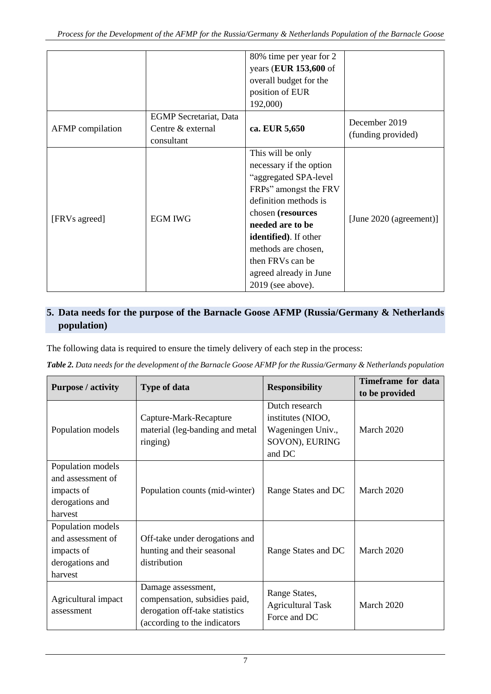|                  |                                                                  | 80% time per year for 2<br>years (EUR 153,600 of<br>overall budget for the<br>position of EUR<br>192,000)                                                                                                                                                                             |                                     |
|------------------|------------------------------------------------------------------|---------------------------------------------------------------------------------------------------------------------------------------------------------------------------------------------------------------------------------------------------------------------------------------|-------------------------------------|
| AFMP compilation | <b>EGMP</b> Secretariat, Data<br>Centre & external<br>consultant | ca. EUR 5,650                                                                                                                                                                                                                                                                         | December 2019<br>(funding provided) |
| [FRVs agreed]    | <b>EGM IWG</b>                                                   | This will be only<br>necessary if the option<br>"aggregated SPA-level<br>FRPs" amongst the FRV<br>definition methods is<br>chosen (resources<br>needed are to be<br>identified). If other<br>methods are chosen,<br>then FRVs can be<br>agreed already in June<br>$2019$ (see above). | [June 2020 (agreement)]             |

## **5. Data needs for the purpose of the Barnacle Goose AFMP (Russia/Germany & Netherlands population)**

The following data is required to ensure the timely delivery of each step in the process:

|  | Table 2. Data needs for the development of the Barnacle Goose AFMP for the Russia/Germany & Netherlands population |  |  |
|--|--------------------------------------------------------------------------------------------------------------------|--|--|

|                                                                                    |                                                                                                                        |                                                                                      | Timeframe for data |
|------------------------------------------------------------------------------------|------------------------------------------------------------------------------------------------------------------------|--------------------------------------------------------------------------------------|--------------------|
| <b>Purpose / activity</b>                                                          | <b>Type of data</b>                                                                                                    | <b>Responsibility</b>                                                                | to be provided     |
| Population models                                                                  | Capture-Mark-Recapture<br>material (leg-banding and metal<br>ringing)                                                  | Dutch research<br>institutes (NIOO,<br>Wageningen Univ.,<br>SOVON), EURING<br>and DC | March 2020         |
| Population models<br>and assessment of<br>impacts of<br>derogations and<br>harvest | Population counts (mid-winter)                                                                                         | Range States and DC                                                                  | March 2020         |
| Population models<br>and assessment of<br>impacts of<br>derogations and<br>harvest | Off-take under derogations and<br>hunting and their seasonal<br>distribution                                           | Range States and DC                                                                  | March 2020         |
| Agricultural impact<br>assessment                                                  | Damage assessment,<br>compensation, subsidies paid,<br>derogation off-take statistics<br>(according to the indicators) | Range States,<br><b>Agricultural Task</b><br>Force and DC                            | March 2020         |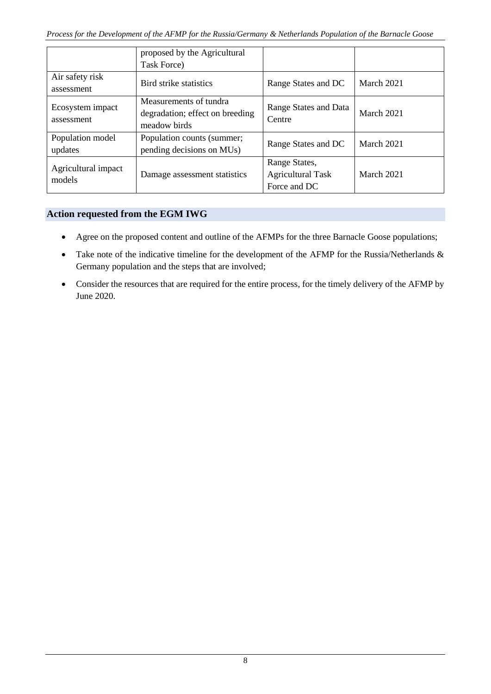|                                | proposed by the Agricultural<br>Task Force)                               |                                                           |            |
|--------------------------------|---------------------------------------------------------------------------|-----------------------------------------------------------|------------|
| Air safety risk<br>assessment  | Bird strike statistics                                                    | Range States and DC                                       | March 2021 |
| Ecosystem impact<br>assessment | Measurements of tundra<br>degradation; effect on breeding<br>meadow birds | Range States and Data<br>Centre                           | March 2021 |
| Population model<br>updates    | Population counts (summer;<br>pending decisions on MUs)                   | Range States and DC                                       | March 2021 |
| Agricultural impact<br>models  | Damage assessment statistics                                              | Range States,<br><b>Agricultural Task</b><br>Force and DC | March 2021 |

## **Action requested from the EGM IWG**

- Agree on the proposed content and outline of the AFMPs for the three Barnacle Goose populations;
- Take note of the indicative timeline for the development of the AFMP for the Russia/Netherlands & Germany population and the steps that are involved;
- Consider the resources that are required for the entire process, for the timely delivery of the AFMP by June 2020.